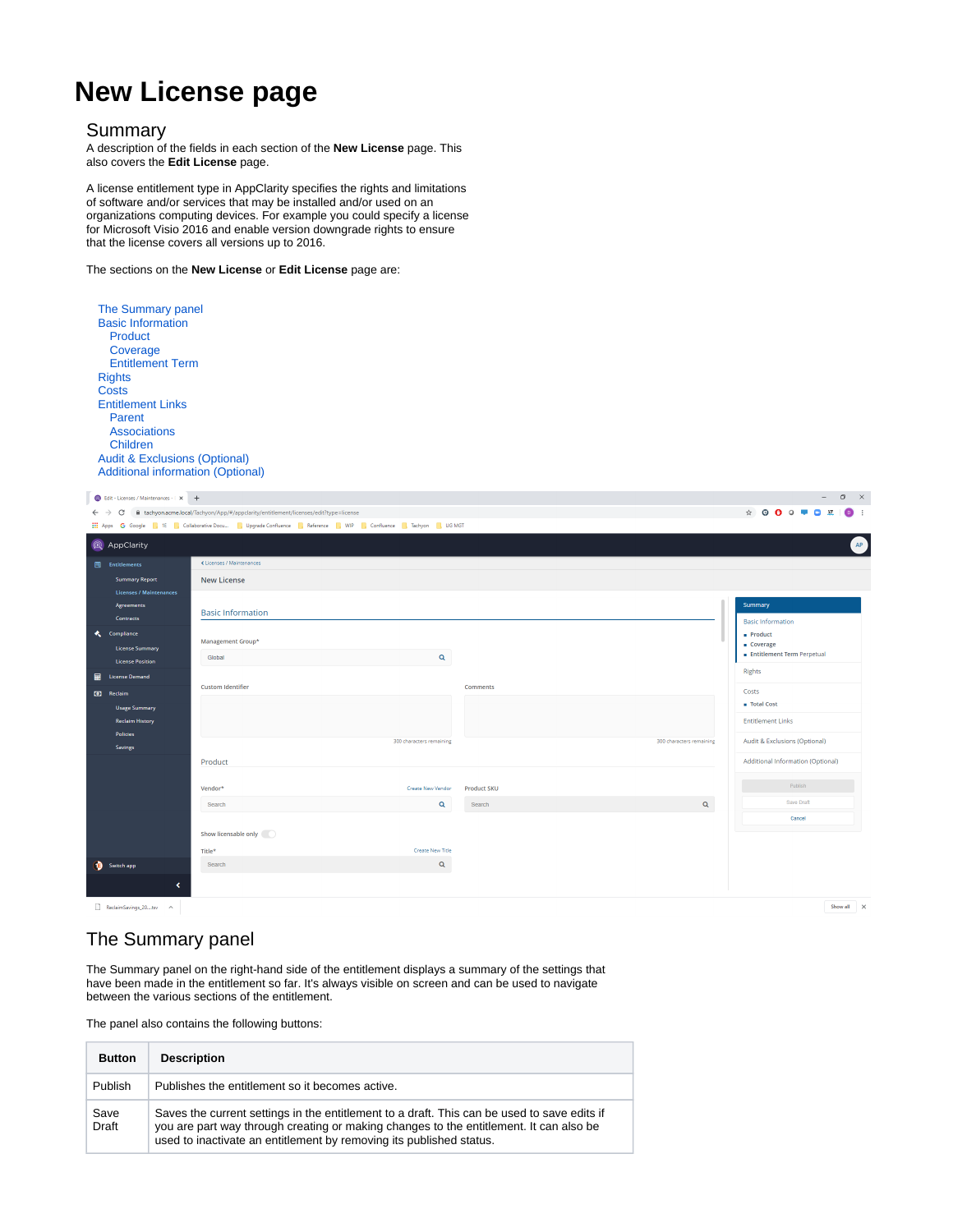# **New License page**

#### Summary

A description of the fields in each section of the **New License** page. This also covers the **Edit License** page.

A license entitlement type in AppClarity specifies the rights and limitations of software and/or services that may be installed and/or used on an organizations computing devices. For example you could specify a license for Microsoft Visio 2016 and enable version downgrade rights to ensure that the license covers all versions up to 2016.

The sections on the **New License** or **Edit License** page are:

| The Summary panel<br><b>Basic Information</b>                                        |
|--------------------------------------------------------------------------------------|
| Product                                                                              |
| Coverage                                                                             |
| <b>Fntitlement Term</b>                                                              |
| <b>Rights</b>                                                                        |
| Costs                                                                                |
| <b>Entitlement Links</b>                                                             |
| Parent                                                                               |
| Associations                                                                         |
| Children                                                                             |
| <b>Audit &amp; Exclusions (Optional)</b><br><b>Additional information (Optional)</b> |

| <b>B</b> Edit - Licenses / Maintenances - E X +                                                                       |                                                                                                                                                                                   |                          |  |                                                                                                                                                             | $\sigma$ $\times$<br>$\sim$ |
|-----------------------------------------------------------------------------------------------------------------------|-----------------------------------------------------------------------------------------------------------------------------------------------------------------------------------|--------------------------|--|-------------------------------------------------------------------------------------------------------------------------------------------------------------|-----------------------------|
| ii tachyon.acme.local/Tachyon/App/#/appclarity/entitlement/licenses/edit?type=license<br>$\leftarrow$ $\rightarrow$ C |                                                                                                                                                                                   |                          |  | $\qquad \qquad \, \hat{r} \quad \, \Theta \quad \, \Theta \quad \, \Theta \quad \, \Theta \quad \, \overline{r} \quad \, \Theta \quad \, \overline{u} \, .$ | $\bullet$                   |
|                                                                                                                       | <b>112 Apps</b> G Google <b>1</b> 1E <b>R</b> Collaborative Docu <b>R</b> Upgrade Confluence <b>R</b> Reference <b>R</b> WIP <b>R</b> Confluence <b>R</b> Tachyon <b>R</b> UG MGT |                          |  |                                                                                                                                                             |                             |
| Q AppClarity                                                                                                          |                                                                                                                                                                                   |                          |  |                                                                                                                                                             | AP                          |
| $\blacksquare$ Entitlements                                                                                           | « Licenses / Maintenances                                                                                                                                                         |                          |  |                                                                                                                                                             |                             |
| <b>Summary Report</b>                                                                                                 | <b>New License</b>                                                                                                                                                                |                          |  |                                                                                                                                                             |                             |
| <b>Licenses / Maintenances</b>                                                                                        |                                                                                                                                                                                   |                          |  |                                                                                                                                                             |                             |
| <b>Agreements</b>                                                                                                     | <b>Basic Information</b>                                                                                                                                                          |                          |  | Summary                                                                                                                                                     |                             |
| <b>Contracts</b>                                                                                                      |                                                                                                                                                                                   |                          |  | <b>Basic Information</b>                                                                                                                                    |                             |
| $\ddot{\phantom{1}}$<br>Compliance                                                                                    | Management Group*                                                                                                                                                                 |                          |  | $=$ Product<br>Coverage                                                                                                                                     |                             |
| <b>License Summary</b>                                                                                                | $\mathbf{Q}$<br>Global                                                                                                                                                            |                          |  | Entitlement Term Perpetual                                                                                                                                  |                             |
| <b>License Position</b><br>■<br><b>License Demand</b>                                                                 |                                                                                                                                                                                   |                          |  | Rights                                                                                                                                                      |                             |
|                                                                                                                       | <b>Custom Identifier</b>                                                                                                                                                          | <b>Comments</b>          |  | Costs                                                                                                                                                       |                             |
| <b>3</b> Reclaim                                                                                                      |                                                                                                                                                                                   |                          |  | <b>E</b> Total Cost                                                                                                                                         |                             |
| <b>Usage Summary</b><br><b>Reclaim History</b>                                                                        |                                                                                                                                                                                   |                          |  | <b>Entitlement Links</b>                                                                                                                                    |                             |
| Policies                                                                                                              |                                                                                                                                                                                   |                          |  |                                                                                                                                                             |                             |
| Savings                                                                                                               | 300 characters remaining                                                                                                                                                          | 300 characters remaining |  | Audit & Exclusions (Optional)                                                                                                                               |                             |
|                                                                                                                       | Product                                                                                                                                                                           |                          |  | Additional Information (Optional)                                                                                                                           |                             |
|                                                                                                                       |                                                                                                                                                                                   |                          |  |                                                                                                                                                             |                             |
|                                                                                                                       | Vendor*<br>Create New Vendor                                                                                                                                                      | <b>Product SKU</b>       |  | Publish                                                                                                                                                     |                             |
|                                                                                                                       | $\mathsf q$<br>Search                                                                                                                                                             | $\alpha$<br>Search       |  | Save Draft                                                                                                                                                  |                             |
|                                                                                                                       |                                                                                                                                                                                   |                          |  | Cancel                                                                                                                                                      |                             |
|                                                                                                                       | Show licensable only                                                                                                                                                              |                          |  |                                                                                                                                                             |                             |
|                                                                                                                       | <b>Create New Title</b><br>Title*                                                                                                                                                 |                          |  |                                                                                                                                                             |                             |
| Switch app                                                                                                            | $\alpha$<br>Search                                                                                                                                                                |                          |  |                                                                                                                                                             |                             |
|                                                                                                                       | ∢                                                                                                                                                                                 |                          |  |                                                                                                                                                             |                             |
|                                                                                                                       |                                                                                                                                                                                   |                          |  |                                                                                                                                                             |                             |
| ReclaimSavings_20  tsv ^                                                                                              |                                                                                                                                                                                   |                          |  |                                                                                                                                                             | Show all X                  |

# The Summary panel

The Summary panel on the right-hand side of the entitlement displays a summary of the settings that have been made in the entitlement so far. It's always visible on screen and can be used to navigate between the various sections of the entitlement.

The panel also contains the following buttons:

| <b>Button</b>        | <b>Description</b>                                                                                                                                                                                                                                           |
|----------------------|--------------------------------------------------------------------------------------------------------------------------------------------------------------------------------------------------------------------------------------------------------------|
| Publish              | Publishes the entitlement so it becomes active.                                                                                                                                                                                                              |
| Save<br><b>Draft</b> | Saves the current settings in the entitlement to a draft. This can be used to save edits if<br>you are part way through creating or making changes to the entitlement. It can also be<br>used to inactivate an entitlement by removing its published status. |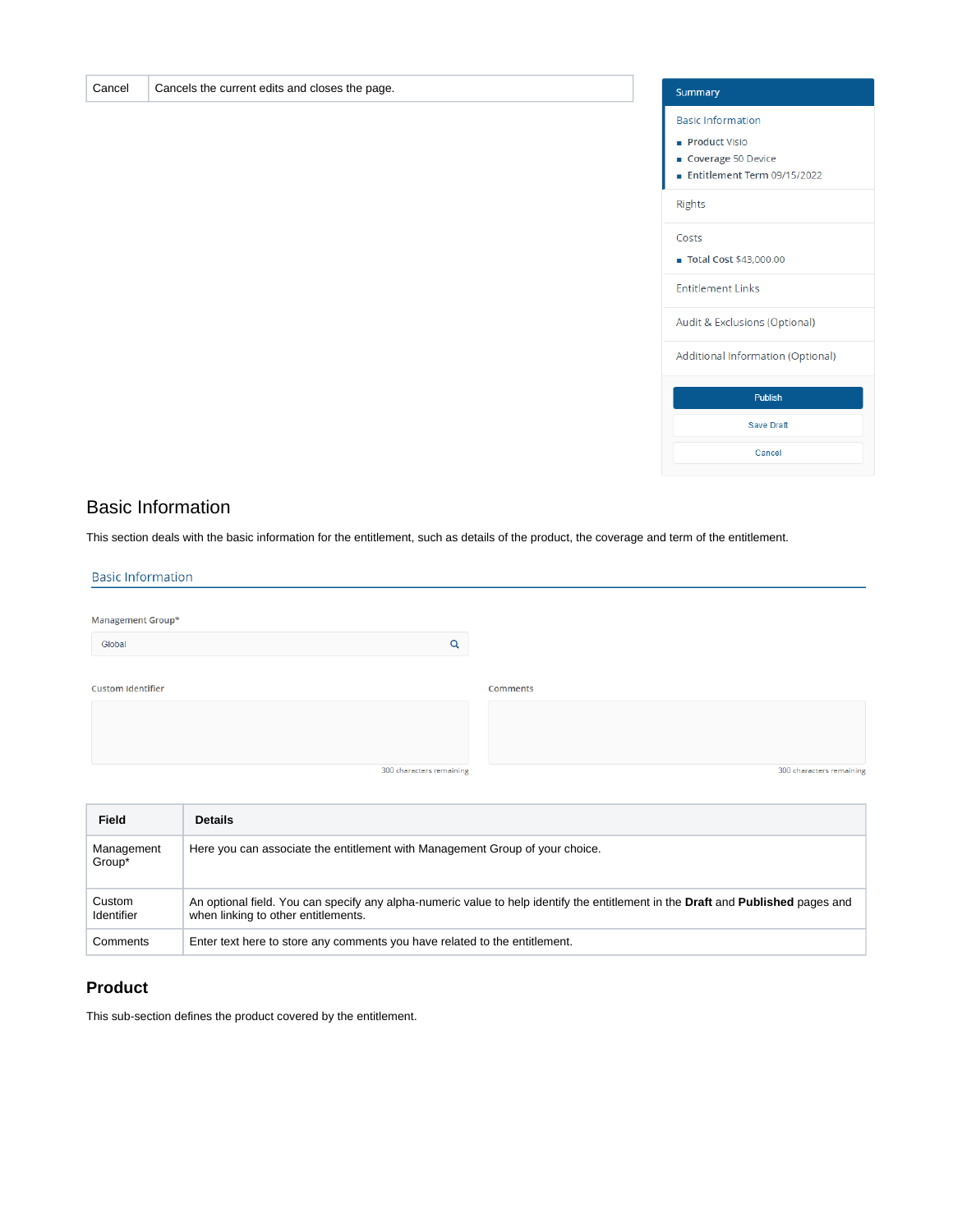

### Basic Information

Cancel Cancels the current edits and closes the page.

This section deals with the basic information for the entitlement, such as details of the product, the coverage and term of the entitlement.

| <b>Basic Information</b> |                          |                          |
|--------------------------|--------------------------|--------------------------|
|                          |                          |                          |
| Management Group*        |                          |                          |
| Global                   | Q                        |                          |
|                          |                          |                          |
| <b>Custom Identifier</b> |                          | Comments                 |
|                          |                          |                          |
|                          |                          |                          |
|                          |                          |                          |
|                          | 300 characters remaining | 300 characters remaining |
|                          |                          |                          |

| <b>Field</b>         | <b>Details</b>                                                                                                                                                          |
|----------------------|-------------------------------------------------------------------------------------------------------------------------------------------------------------------------|
| Management<br>Group* | Here you can associate the entitlement with Management Group of your choice.                                                                                            |
| Custom<br>Identifier | An optional field. You can specify any alpha-numeric value to help identify the entitlement in the Draft and Published pages and<br>when linking to other entitlements. |
| Comments             | Enter text here to store any comments you have related to the entitlement.                                                                                              |

### **Product**

This sub-section defines the product covered by the entitlement.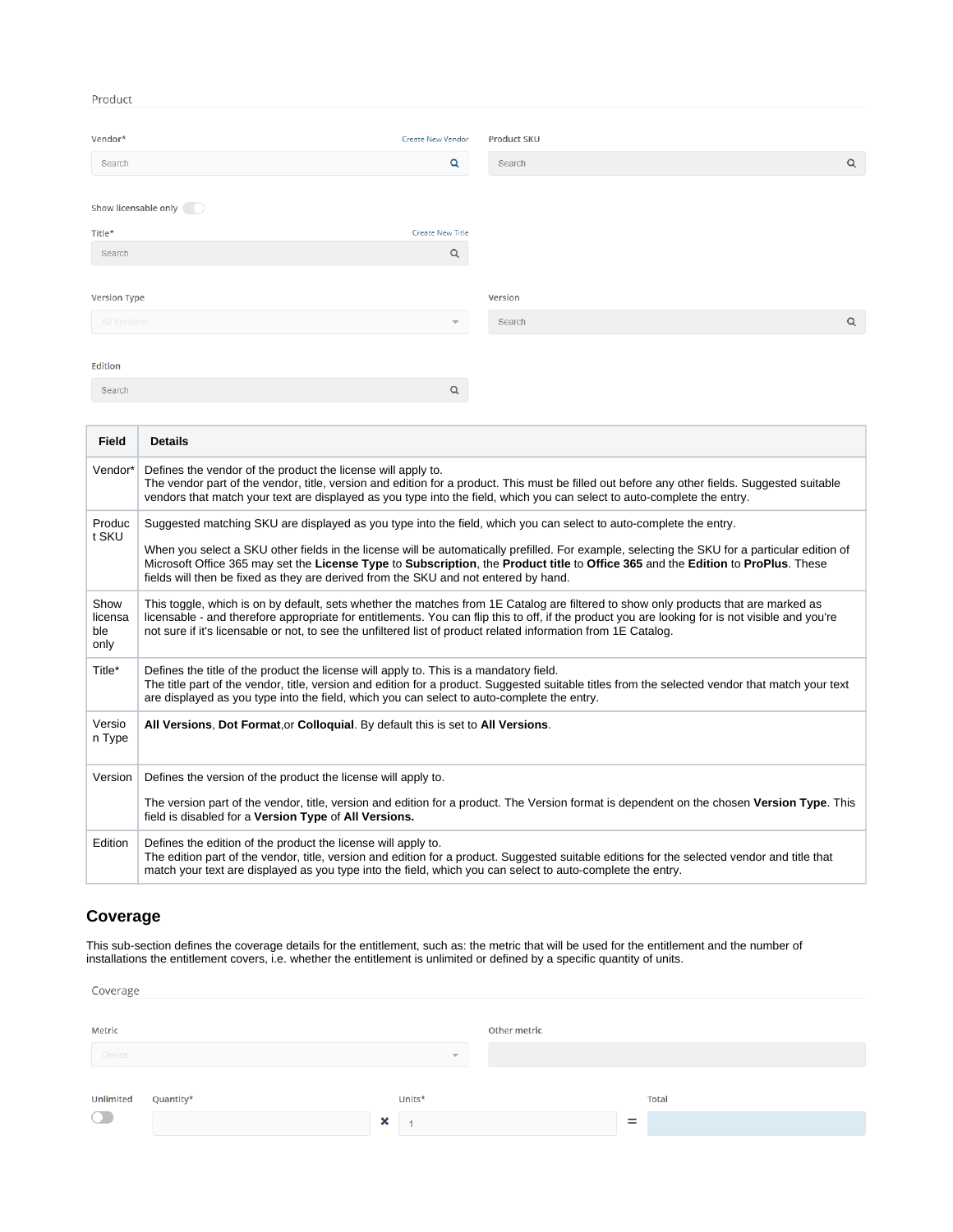#### Product

m.

T

| Vendor*              | Create New Vendor        | <b>Product SKU</b> |             |
|----------------------|--------------------------|--------------------|-------------|
| Search               | $\mathsf Q$              | Search             | $\mathsf Q$ |
| Show licensable only |                          |                    |             |
| Title*               | Create New Title         |                    |             |
| Search               | $\alpha$                 |                    |             |
|                      |                          |                    |             |
| <b>Version Type</b>  |                          | Version            |             |
| All Versions         | $\overline{\phantom{a}}$ | Search             | $\alpha$    |
|                      |                          |                    |             |
| Edition              |                          |                    |             |
| Search               | $\alpha$                 |                    |             |

| <b>Field</b>                   | <b>Details</b>                                                                                                                                                                                                                                                                                                                                                                                                                                                                                |
|--------------------------------|-----------------------------------------------------------------------------------------------------------------------------------------------------------------------------------------------------------------------------------------------------------------------------------------------------------------------------------------------------------------------------------------------------------------------------------------------------------------------------------------------|
| Vendor*                        | Defines the vendor of the product the license will apply to.<br>The vendor part of the vendor, title, version and edition for a product. This must be filled out before any other fields. Suggested suitable<br>vendors that match your text are displayed as you type into the field, which you can select to auto-complete the entry.                                                                                                                                                       |
| Produc<br>t SKU                | Suggested matching SKU are displayed as you type into the field, which you can select to auto-complete the entry.<br>When you select a SKU other fields in the license will be automatically prefilled. For example, selecting the SKU for a particular edition of<br>Microsoft Office 365 may set the License Type to Subscription, the Product title to Office 365 and the Edition to ProPlus. These<br>fields will then be fixed as they are derived from the SKU and not entered by hand. |
| Show<br>licensa<br>ble<br>only | This toggle, which is on by default, sets whether the matches from 1E Catalog are filtered to show only products that are marked as<br>licensable - and therefore appropriate for entitlements. You can flip this to off, if the product you are looking for is not visible and you're<br>not sure if it's licensable or not, to see the unfiltered list of product related information from 1E Catalog.                                                                                      |
| Title*                         | Defines the title of the product the license will apply to. This is a mandatory field.<br>The title part of the vendor, title, version and edition for a product. Suggested suitable titles from the selected vendor that match your text<br>are displayed as you type into the field, which you can select to auto-complete the entry.                                                                                                                                                       |
| Versio<br>n Type               | All Versions, Dot Format.or Colloquial. By default this is set to All Versions.                                                                                                                                                                                                                                                                                                                                                                                                               |
| Version                        | Defines the version of the product the license will apply to.                                                                                                                                                                                                                                                                                                                                                                                                                                 |
|                                | The version part of the vendor, title, version and edition for a product. The Version format is dependent on the chosen Version Type. This<br>field is disabled for a Version Type of All Versions.                                                                                                                                                                                                                                                                                           |
| Edition                        | Defines the edition of the product the license will apply to.<br>The edition part of the vendor, title, version and edition for a product. Suggested suitable editions for the selected vendor and title that<br>match your text are displayed as you type into the field, which you can select to auto-complete the entry.                                                                                                                                                                   |

### **Coverage**

This sub-section defines the coverage details for the entitlement, such as: the metric that will be used for the entitlement and the number of installations the entitlement covers, i.e. whether the entitlement is unlimited or defined by a specific quantity of units.

| Coverage  |           |                                |              |              |  |
|-----------|-----------|--------------------------------|--------------|--------------|--|
| Metric    |           |                                | Other metric |              |  |
| Device    |           | $\overline{\mathbf{v}}$        |              |              |  |
| Unlimited | Quantity* | Units*                         |              | <b>Total</b> |  |
| $\bigcap$ |           | $\boldsymbol{\mathsf{x}}$<br>и |              | $=$          |  |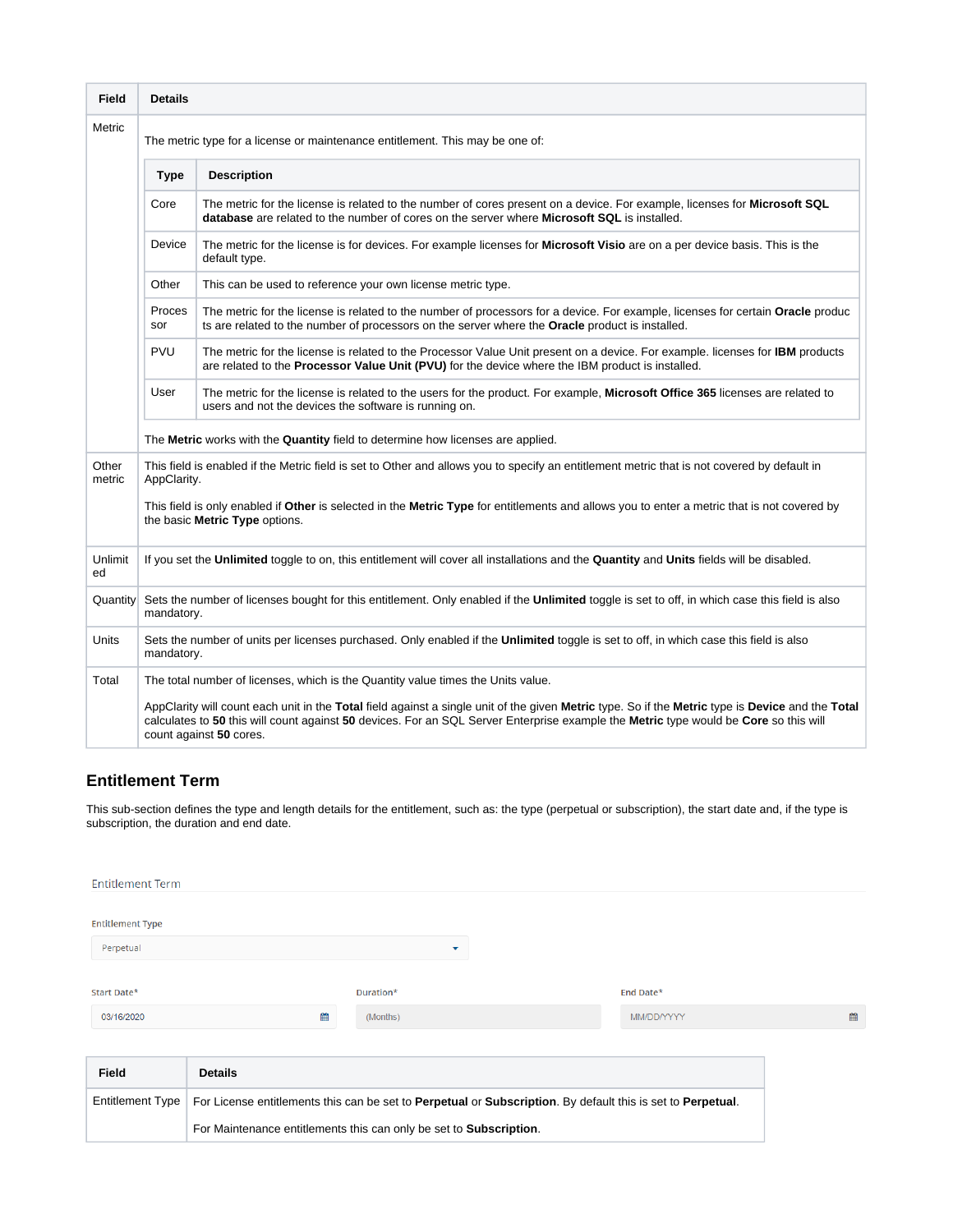| <b>Field</b>                                                                                                                                                                                                                                                                                                                                                                              | <b>Details</b>                                                                                                                                                                                                                                                                                                      |                                                                                                                                                                                                                                    |  |  |  |  |  |       |                                                             |
|-------------------------------------------------------------------------------------------------------------------------------------------------------------------------------------------------------------------------------------------------------------------------------------------------------------------------------------------------------------------------------------------|---------------------------------------------------------------------------------------------------------------------------------------------------------------------------------------------------------------------------------------------------------------------------------------------------------------------|------------------------------------------------------------------------------------------------------------------------------------------------------------------------------------------------------------------------------------|--|--|--|--|--|-------|-------------------------------------------------------------|
| Metric                                                                                                                                                                                                                                                                                                                                                                                    | The metric type for a license or maintenance entitlement. This may be one of:                                                                                                                                                                                                                                       |                                                                                                                                                                                                                                    |  |  |  |  |  |       |                                                             |
|                                                                                                                                                                                                                                                                                                                                                                                           | <b>Description</b><br><b>Type</b>                                                                                                                                                                                                                                                                                   |                                                                                                                                                                                                                                    |  |  |  |  |  |       |                                                             |
| Core<br>The metric for the license is related to the number of cores present on a device. For example, licenses for Microsoft SQL<br>database are related to the number of cores on the server where Microsoft SQL is installed.<br>Device<br>The metric for the license is for devices. For example licenses for Microsoft Visio are on a per device basis. This is the<br>default type. |                                                                                                                                                                                                                                                                                                                     |                                                                                                                                                                                                                                    |  |  |  |  |  |       |                                                             |
|                                                                                                                                                                                                                                                                                                                                                                                           |                                                                                                                                                                                                                                                                                                                     |                                                                                                                                                                                                                                    |  |  |  |  |  | Other | This can be used to reference your own license metric type. |
|                                                                                                                                                                                                                                                                                                                                                                                           | Proces<br>sor                                                                                                                                                                                                                                                                                                       | The metric for the license is related to the number of processors for a device. For example, licenses for certain Oracle produc<br>ts are related to the number of processors on the server where the Oracle product is installed. |  |  |  |  |  |       |                                                             |
|                                                                                                                                                                                                                                                                                                                                                                                           | <b>PVU</b>                                                                                                                                                                                                                                                                                                          | The metric for the license is related to the Processor Value Unit present on a device. For example. licenses for IBM products<br>are related to the Processor Value Unit (PVU) for the device where the IBM product is installed.  |  |  |  |  |  |       |                                                             |
|                                                                                                                                                                                                                                                                                                                                                                                           | User<br>The metric for the license is related to the users for the product. For example, Microsoft Office 365 licenses are related to<br>users and not the devices the software is running on.                                                                                                                      |                                                                                                                                                                                                                                    |  |  |  |  |  |       |                                                             |
|                                                                                                                                                                                                                                                                                                                                                                                           | The Metric works with the Quantity field to determine how licenses are applied.                                                                                                                                                                                                                                     |                                                                                                                                                                                                                                    |  |  |  |  |  |       |                                                             |
| Other<br>metric                                                                                                                                                                                                                                                                                                                                                                           | This field is enabled if the Metric field is set to Other and allows you to specify an entitlement metric that is not covered by default in<br>AppClarity.                                                                                                                                                          |                                                                                                                                                                                                                                    |  |  |  |  |  |       |                                                             |
|                                                                                                                                                                                                                                                                                                                                                                                           | This field is only enabled if Other is selected in the Metric Type for entitlements and allows you to enter a metric that is not covered by<br>the basic Metric Type options.                                                                                                                                       |                                                                                                                                                                                                                                    |  |  |  |  |  |       |                                                             |
| Unlimit<br>ed                                                                                                                                                                                                                                                                                                                                                                             |                                                                                                                                                                                                                                                                                                                     | If you set the Unlimited toggle to on, this entitlement will cover all installations and the Quantity and Units fields will be disabled.                                                                                           |  |  |  |  |  |       |                                                             |
| Quantity                                                                                                                                                                                                                                                                                                                                                                                  | Sets the number of licenses bought for this entitlement. Only enabled if the Unlimited toggle is set to off, in which case this field is also<br>mandatory.                                                                                                                                                         |                                                                                                                                                                                                                                    |  |  |  |  |  |       |                                                             |
| Units                                                                                                                                                                                                                                                                                                                                                                                     | Sets the number of units per licenses purchased. Only enabled if the Unlimited toggle is set to off, in which case this field is also<br>mandatory.                                                                                                                                                                 |                                                                                                                                                                                                                                    |  |  |  |  |  |       |                                                             |
| Total                                                                                                                                                                                                                                                                                                                                                                                     |                                                                                                                                                                                                                                                                                                                     | The total number of licenses, which is the Quantity value times the Units value.                                                                                                                                                   |  |  |  |  |  |       |                                                             |
|                                                                                                                                                                                                                                                                                                                                                                                           | AppClarity will count each unit in the Total field against a single unit of the given Metric type. So if the Metric type is Device and the Total<br>calculates to 50 this will count against 50 devices. For an SQL Server Enterprise example the Metric type would be Core so this will<br>count against 50 cores. |                                                                                                                                                                                                                                    |  |  |  |  |  |       |                                                             |

### **Entitlement Term**

This sub-section defines the type and length details for the entitlement, such as: the type (perpetual or subscription), the start date and, if the type is subscription, the duration and end date.

| <b>Entitlement Term</b>                             |                                                                                                                                |                |            |   |
|-----------------------------------------------------|--------------------------------------------------------------------------------------------------------------------------------|----------------|------------|---|
| <b>Entitlement Type</b><br>Perpetual<br>Start Date* |                                                                                                                                | ▼<br>Duration* | End Date*  |   |
|                                                     |                                                                                                                                |                |            |   |
| 03/16/2020                                          | 雦                                                                                                                              | (Months)       | MM/DD/YYYY | 巤 |
| <b>Field</b>                                        | <b>Details</b>                                                                                                                 |                |            |   |
|                                                     | Entitlement Type   For License entitlements this can be set to Perpetual or Subscription. By default this is set to Perpetual. |                |            |   |

For Maintenance entitlements this can only be set to **Subscription**.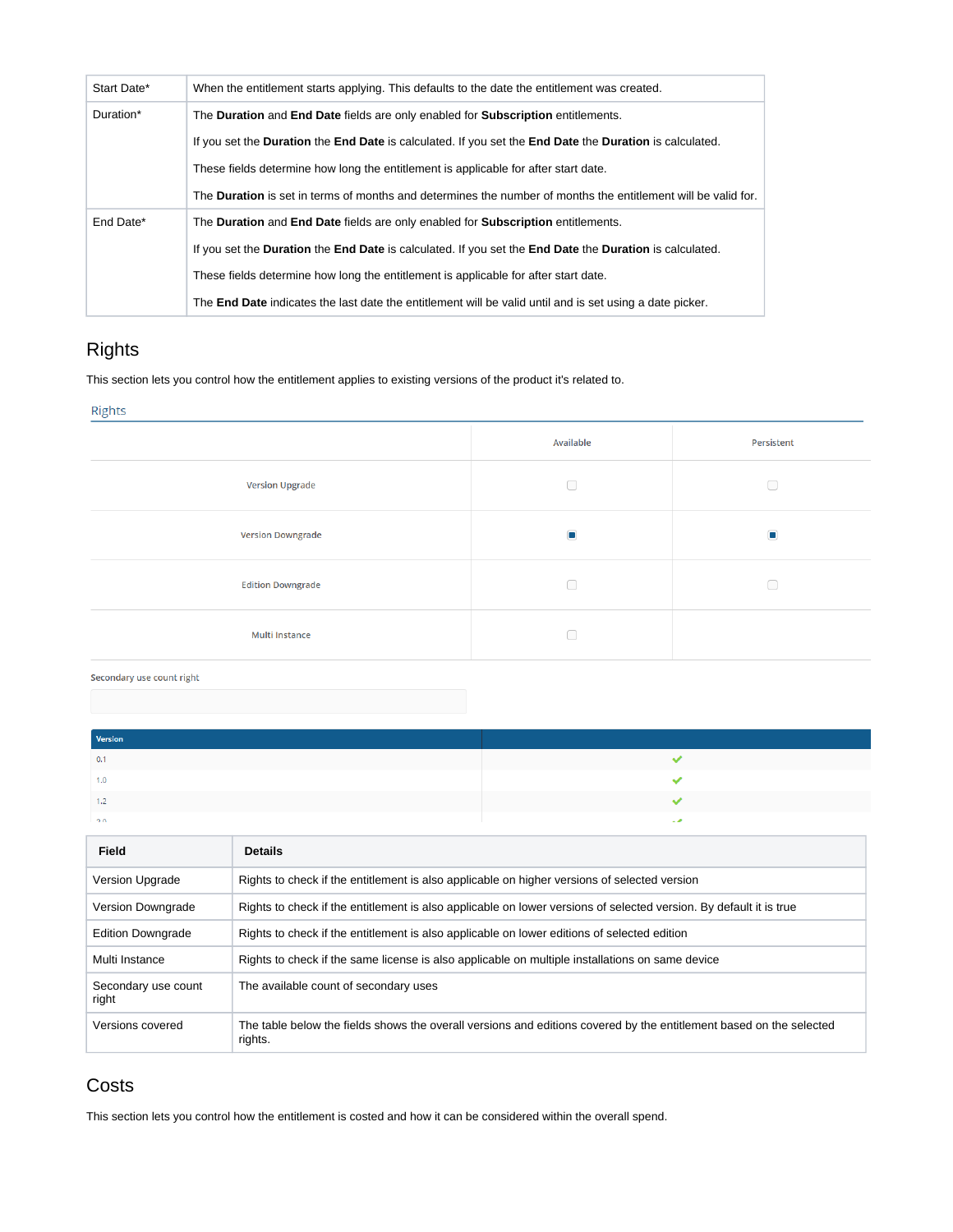| Start Date* | When the entitlement starts applying. This defaults to the date the entitlement was created.                                        |
|-------------|-------------------------------------------------------------------------------------------------------------------------------------|
| Duration*   | The Duration and End Date fields are only enabled for Subscription entitlements.                                                    |
|             | If you set the <b>Duration</b> the <b>End Date</b> is calculated. If you set the <b>End Date</b> the <b>Duration</b> is calculated. |
|             | These fields determine how long the entitlement is applicable for after start date.                                                 |
|             | The <b>Duration</b> is set in terms of months and determines the number of months the entitlement will be valid for.                |
| End Date*   | The Duration and End Date fields are only enabled for Subscription entitlements.                                                    |
|             | If you set the <b>Duration</b> the <b>End Date</b> is calculated. If you set the <b>End Date</b> the <b>Duration</b> is calculated. |
|             | These fields determine how long the entitlement is applicable for after start date.                                                 |
|             | The <b>End Date</b> indicates the last date the entitlement will be valid until and is set using a date picker.                     |

# Rights

This section lets you control how the entitlement applies to existing versions of the product it's related to.

#### Rights

|                          | Available      | Persistent     |
|--------------------------|----------------|----------------|
| <b>Version Upgrade</b>   | ∩              | ∩              |
| <b>Version Downgrade</b> | $\blacksquare$ | $\blacksquare$ |
| <b>Edition Downgrade</b> | ∩              |                |
| <b>Multi Instance</b>    | ∩              |                |

#### Secondary use count right

| Version         |  |
|-----------------|--|
| 0.1             |  |
| 1.0             |  |
|                 |  |
| 20 <sub>0</sub> |  |

| Field                        | <b>Details</b>                                                                                                                 |
|------------------------------|--------------------------------------------------------------------------------------------------------------------------------|
| <b>Version Upgrade</b>       | Rights to check if the entitlement is also applicable on higher versions of selected version                                   |
| Version Downgrade            | Rights to check if the entitlement is also applicable on lower versions of selected version. By default it is true             |
| <b>Edition Downgrade</b>     | Rights to check if the entitlement is also applicable on lower editions of selected edition                                    |
| Multi Instance               | Rights to check if the same license is also applicable on multiple installations on same device                                |
| Secondary use count<br>right | The available count of secondary uses                                                                                          |
| Versions covered             | The table below the fields shows the overall versions and editions covered by the entitlement based on the selected<br>rights. |

### **Costs**

This section lets you control how the entitlement is costed and how it can be considered within the overall spend.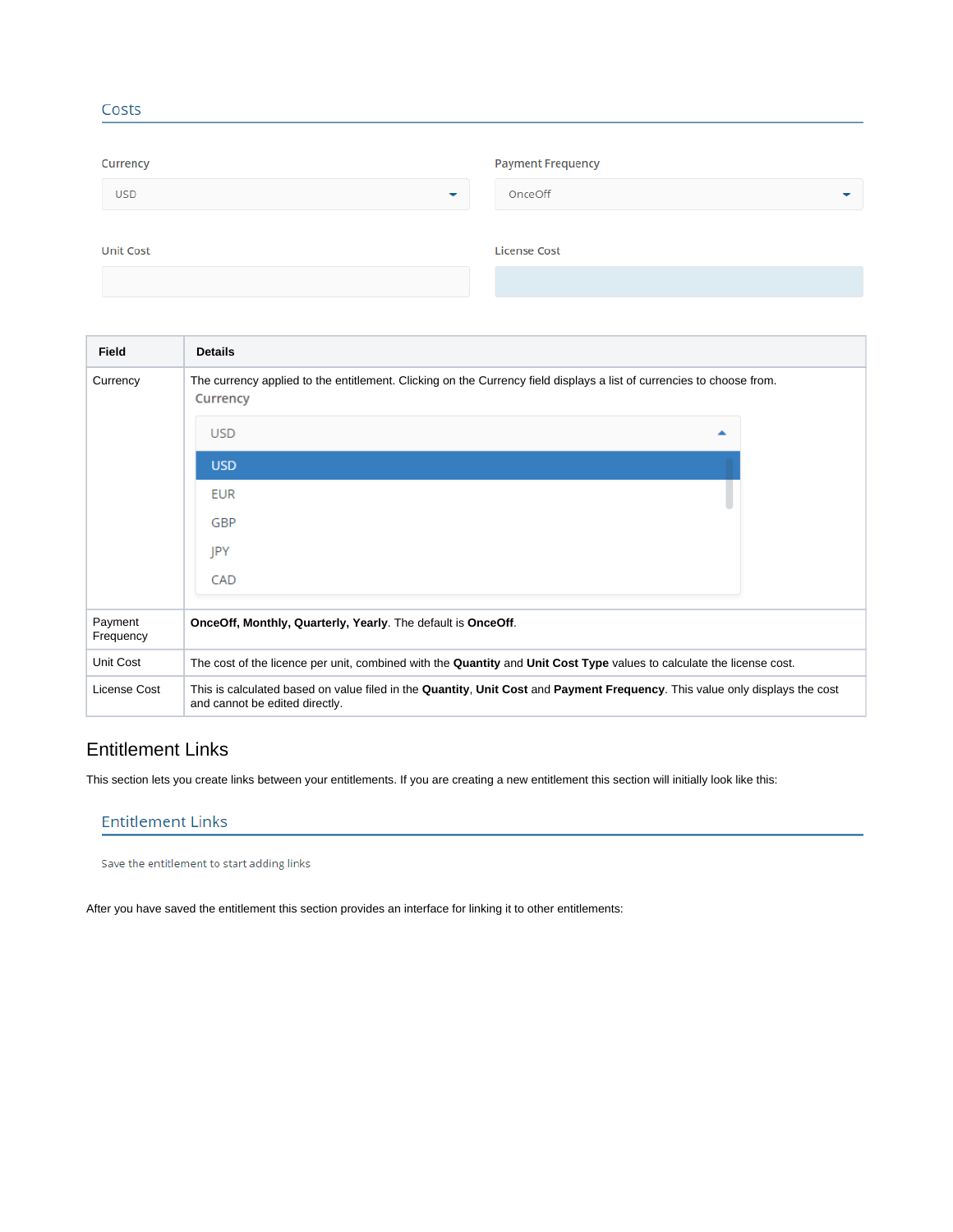| Currency                               | <b>Payment Frequency</b> |
|----------------------------------------|--------------------------|
| <b>USD</b><br>$\overline{\phantom{a}}$ | OnceOff<br>╾             |
| <b>Unit Cost</b>                       | <b>License Cost</b>      |
|                                        |                          |

| Field                | <b>Details</b>                                                                                                                                                |  |  |  |
|----------------------|---------------------------------------------------------------------------------------------------------------------------------------------------------------|--|--|--|
| Currency             | The currency applied to the entitlement. Clicking on the Currency field displays a list of currencies to choose from.<br>Currency                             |  |  |  |
|                      | <b>USD</b><br>▲                                                                                                                                               |  |  |  |
|                      | <b>USD</b>                                                                                                                                                    |  |  |  |
|                      | <b>EUR</b>                                                                                                                                                    |  |  |  |
|                      | GBP                                                                                                                                                           |  |  |  |
|                      | JPY                                                                                                                                                           |  |  |  |
|                      | CAD                                                                                                                                                           |  |  |  |
| Payment<br>Frequency | OnceOff, Monthly, Quarterly, Yearly. The default is OnceOff.                                                                                                  |  |  |  |
| Unit Cost            | The cost of the licence per unit, combined with the Quantity and Unit Cost Type values to calculate the license cost.                                         |  |  |  |
| License Cost         | This is calculated based on value filed in the Quantity, Unit Cost and Payment Frequency. This value only displays the cost<br>and cannot be edited directly. |  |  |  |

# Entitlement Links

Costs

This section lets you create links between your entitlements. If you are creating a new entitlement this section will initially look like this:

### **Entitlement Links**

Save the entitlement to start adding links

After you have saved the entitlement this section provides an interface for linking it to other entitlements: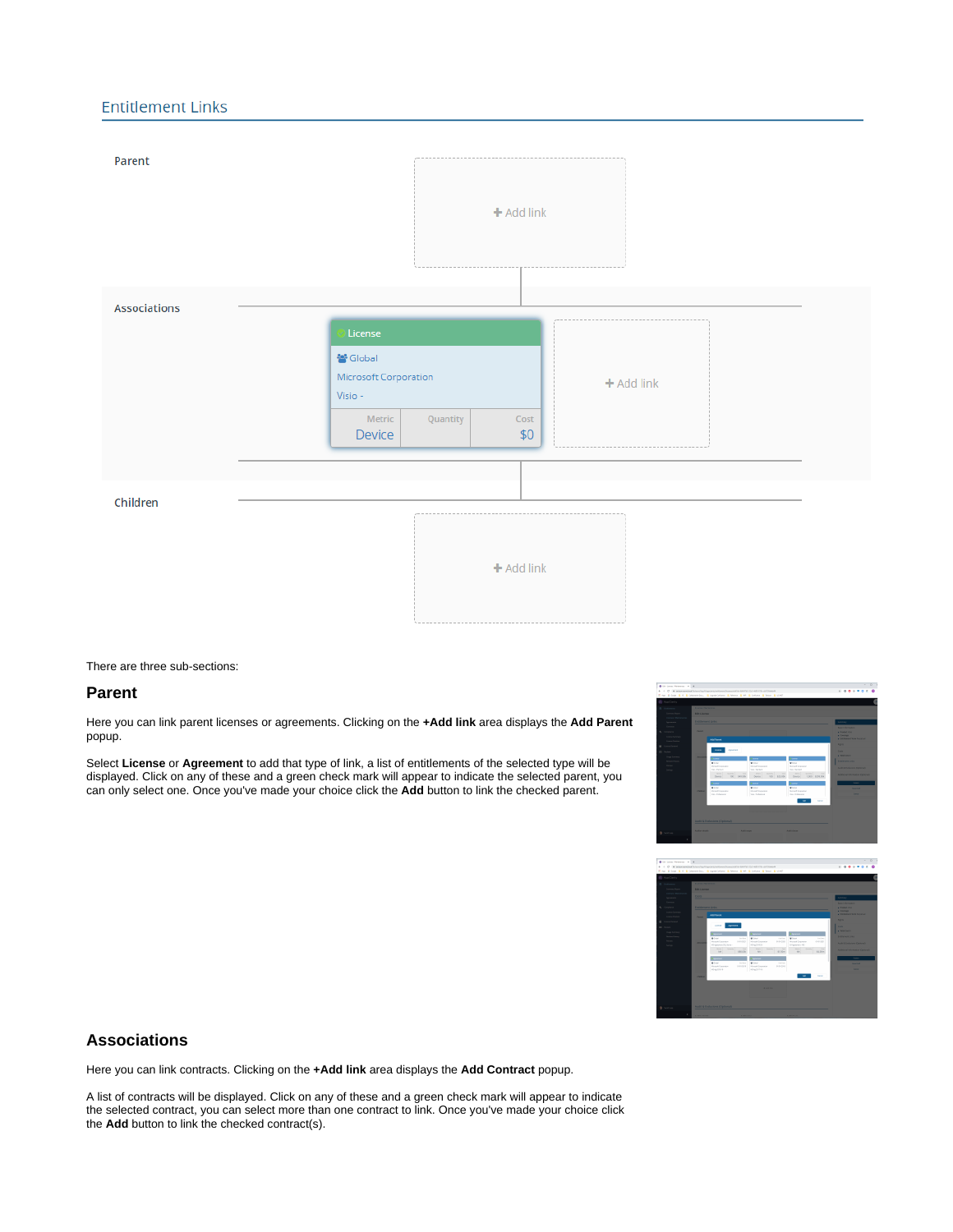### **Entitlement Links**



#### There are three sub-sections:

#### **Parent**

Here you can link parent licenses or agreements. Clicking on the **+Add link** area displays the **Add Parent** popup.

Select **License** or **Agreement** to add that type of link, a list of entitlements of the selected type will be displayed. Click on any of these and a green check mark will appear to indicate the selected parent, you can only select one. Once you've made your choice click the **Add** button to link the checked parent.





#### **Associations**

Here you can link contracts. Clicking on the **+Add link** area displays the **Add Contract** popup.

A list of contracts will be displayed. Click on any of these and a green check mark will appear to indicate the selected contract, you can select more than one contract to link. Once you've made your choice click the **Add** button to link the checked contract(s).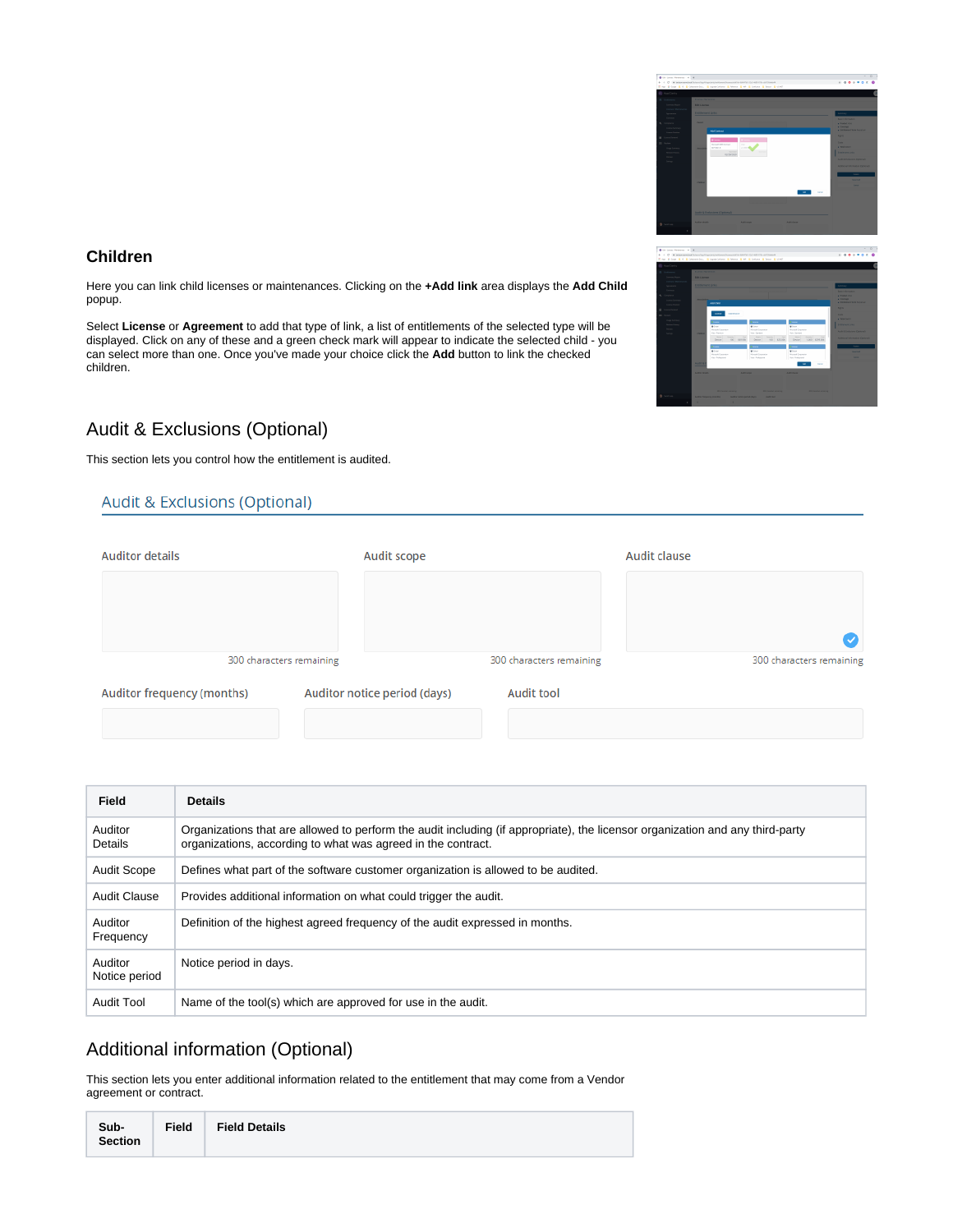

 $\sim$   $\sim$   $\sim$   $\sim$   $\sim$ 

 $\overline{\bullet}$ 

### **Children**

Here you can link child licenses or maintenances. Clicking on the **+Add link** area displays the **Add Child** popup.

Select **License** or **Agreement** to add that type of link, a list of entitlements of the selected type will be displayed. Click on any of these and a green check mark will appear to indicate the selected child - you can select more than one. Once you've made your choice click the **Add** button to link the checked children.

# Audit & Exclusions (Optional)

This section lets you control how the entitlement is audited.

### **Audit & Exclusions (Optional)**

| Audit scope |                                                          | Audit clause             |  |
|-------------|----------------------------------------------------------|--------------------------|--|
|             |                                                          |                          |  |
|             |                                                          |                          |  |
|             | 300 characters remaining                                 | 300 characters remaining |  |
|             | <b>Audit tool</b>                                        |                          |  |
|             | 300 characters remaining<br>Auditor notice period (days) |                          |  |

| Field                    | <b>Details</b>                                                                                                                                                                                |
|--------------------------|-----------------------------------------------------------------------------------------------------------------------------------------------------------------------------------------------|
| Auditor<br>Details       | Organizations that are allowed to perform the audit including (if appropriate), the licensor organization and any third-party<br>organizations, according to what was agreed in the contract. |
| <b>Audit Scope</b>       | Defines what part of the software customer organization is allowed to be audited.                                                                                                             |
| Audit Clause             | Provides additional information on what could trigger the audit.                                                                                                                              |
| Auditor<br>Frequency     | Definition of the highest agreed frequency of the audit expressed in months.                                                                                                                  |
| Auditor<br>Notice period | Notice period in days.                                                                                                                                                                        |
| <b>Audit Tool</b>        | Name of the tool(s) which are approved for use in the audit.                                                                                                                                  |

# Additional information (Optional)

This section lets you enter additional information related to the entitlement that may come from a Vendor agreement or contract.

| Sub-<br><b>Section</b> | <b>Field</b> | <b>Field Details</b> |
|------------------------|--------------|----------------------|
|                        |              |                      |